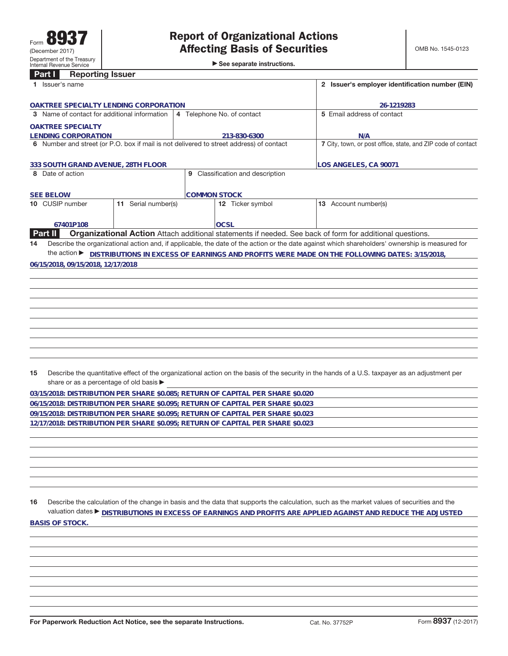►<br>► See separate instructions.

## **Part I Reporting Issuer**

| Part I<br><b>Reporting issuer</b>             |                                  |                                                                                         |                                                                                                                                                                                                                                                              |  |
|-----------------------------------------------|----------------------------------|-----------------------------------------------------------------------------------------|--------------------------------------------------------------------------------------------------------------------------------------------------------------------------------------------------------------------------------------------------------------|--|
| 1 Issuer's name                               |                                  | 2 Issuer's employer identification number (EIN)                                         |                                                                                                                                                                                                                                                              |  |
| OAKTREE SPECIALTY LENDING CORPORATION         |                                  | 26-1219283                                                                              |                                                                                                                                                                                                                                                              |  |
| 3 Name of contact for additional information  |                                  | 4 Telephone No. of contact                                                              | 5 Email address of contact                                                                                                                                                                                                                                   |  |
| <b>OAKTREE SPECIALTY</b>                      |                                  |                                                                                         |                                                                                                                                                                                                                                                              |  |
| <b>LENDING CORPORATION</b>                    |                                  | 213-830-6300                                                                            | N/A                                                                                                                                                                                                                                                          |  |
|                                               |                                  | 6 Number and street (or P.O. box if mail is not delivered to street address) of contact | 7 City, town, or post office, state, and ZIP code of contact                                                                                                                                                                                                 |  |
| 333 SOUTH GRAND AVENUE, 28TH FLOOR            |                                  | LOS ANGELES, CA 90071                                                                   |                                                                                                                                                                                                                                                              |  |
| 8 Date of action                              |                                  | 9 Classification and description                                                        |                                                                                                                                                                                                                                                              |  |
| <b>SEE BELOW</b>                              |                                  | <b>COMMON STOCK</b>                                                                     |                                                                                                                                                                                                                                                              |  |
| 10 CUSIP number                               | $\overline{11}$ Serial number(s) | 12 Ticker symbol                                                                        | 13 Account number(s)                                                                                                                                                                                                                                         |  |
| 67401P108                                     |                                  | <b>OCSL</b>                                                                             |                                                                                                                                                                                                                                                              |  |
| Part II                                       |                                  |                                                                                         | Organizational Action Attach additional statements if needed. See back of form for additional questions.                                                                                                                                                     |  |
| 14                                            |                                  |                                                                                         | Describe the organizational action and, if applicable, the date of the action or the date against which shareholders' ownership is measured for                                                                                                              |  |
|                                               |                                  |                                                                                         | the action ▶ DISTRIBUTIONS IN EXCESS OF EARNINGS AND PROFITS WERE MADE ON THE FOLLOWING DATES: 3/15/2018,                                                                                                                                                    |  |
| 06/15/2018, 09/15/2018, 12/17/2018            |                                  |                                                                                         |                                                                                                                                                                                                                                                              |  |
|                                               |                                  |                                                                                         |                                                                                                                                                                                                                                                              |  |
|                                               |                                  |                                                                                         |                                                                                                                                                                                                                                                              |  |
|                                               |                                  |                                                                                         |                                                                                                                                                                                                                                                              |  |
|                                               |                                  |                                                                                         |                                                                                                                                                                                                                                                              |  |
|                                               |                                  |                                                                                         |                                                                                                                                                                                                                                                              |  |
|                                               |                                  |                                                                                         |                                                                                                                                                                                                                                                              |  |
|                                               |                                  |                                                                                         |                                                                                                                                                                                                                                                              |  |
|                                               |                                  |                                                                                         |                                                                                                                                                                                                                                                              |  |
|                                               |                                  |                                                                                         |                                                                                                                                                                                                                                                              |  |
| 15<br>share or as a percentage of old basis ▶ |                                  |                                                                                         | Describe the quantitative effect of the organizational action on the basis of the security in the hands of a U.S. taxpayer as an adjustment per                                                                                                              |  |
|                                               |                                  | 03/15/2018: DISTRIBUTION PER SHARE \$0.085; RETURN OF CAPITAL PER SHARE \$0.020         |                                                                                                                                                                                                                                                              |  |
|                                               |                                  | 06/15/2018: DISTRIBUTION PER SHARE \$0.095; RETURN OF CAPITAL PER SHARE \$0.023         |                                                                                                                                                                                                                                                              |  |
|                                               |                                  | 09/15/2018: DISTRIBUTION PER SHARE \$0.095; RETURN OF CAPITAL PER SHARE \$0.023         |                                                                                                                                                                                                                                                              |  |
|                                               |                                  | 12/17/2018: DISTRIBUTION PER SHARE \$0.095; RETURN OF CAPITAL PER SHARE \$0.023         |                                                                                                                                                                                                                                                              |  |
|                                               |                                  |                                                                                         |                                                                                                                                                                                                                                                              |  |
|                                               |                                  |                                                                                         |                                                                                                                                                                                                                                                              |  |
|                                               |                                  |                                                                                         |                                                                                                                                                                                                                                                              |  |
|                                               |                                  |                                                                                         |                                                                                                                                                                                                                                                              |  |
|                                               |                                  |                                                                                         |                                                                                                                                                                                                                                                              |  |
|                                               |                                  |                                                                                         |                                                                                                                                                                                                                                                              |  |
| 16                                            |                                  |                                                                                         | Describe the calculation of the change in basis and the data that supports the calculation, such as the market values of securities and the<br>valuation dates ▶ DISTRIBUTIONS IN EXCESS OF EARNINGS AND PROFITS ARE APPLIED AGAINST AND REDUCE THE ADJUSTED |  |
| <b>BASIS OF STOCK.</b>                        |                                  |                                                                                         |                                                                                                                                                                                                                                                              |  |
|                                               |                                  |                                                                                         |                                                                                                                                                                                                                                                              |  |
|                                               |                                  |                                                                                         |                                                                                                                                                                                                                                                              |  |
|                                               |                                  |                                                                                         |                                                                                                                                                                                                                                                              |  |
|                                               |                                  |                                                                                         |                                                                                                                                                                                                                                                              |  |
|                                               |                                  |                                                                                         |                                                                                                                                                                                                                                                              |  |